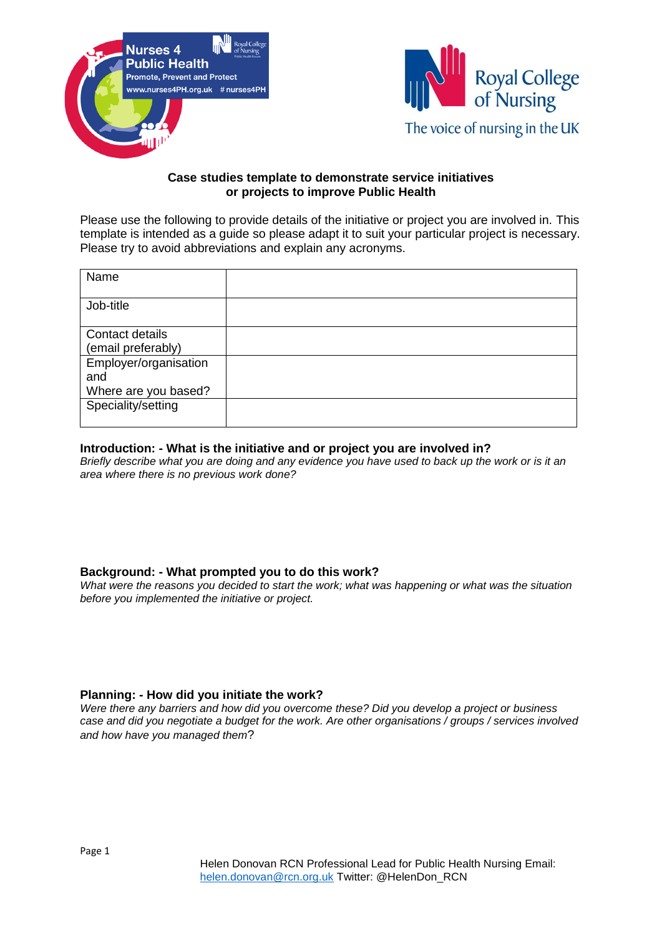



## **Case studies template to demonstrate service initiatives or projects to improve Public Health**

Please use the following to provide details of the initiative or project you are involved in. This template is intended as a guide so please adapt it to suit your particular project is necessary. Please try to avoid abbreviations and explain any acronyms.

| Name                                                 |  |
|------------------------------------------------------|--|
| Job-title                                            |  |
| Contact details<br>(email preferably)                |  |
| Employer/organisation<br>and<br>Where are you based? |  |
| Speciality/setting                                   |  |

## **Introduction: - What is the initiative and or project you are involved in?**

*Briefly describe what you are doing and any evidence you have used to back up the work or is it an area where there is no previous work done?*

## **Background: - What prompted you to do this work?**

*What were the reasons you decided to start the work; what was happening or what was the situation before you implemented the initiative or project.* 

## **Planning: - How did you initiate the work?**

*Were there any barriers and how did you overcome these? Did you develop a project or business case and did you negotiate a budget for the work. Are other organisations / groups / services involved and how have you managed them*?